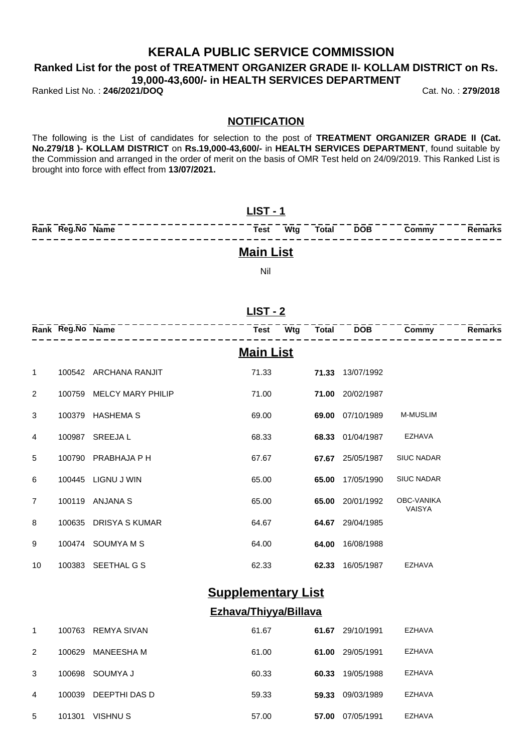## **KERALA PUBLIC SERVICE COMMISSION**

**Ranked List for the post of TREATMENT ORGANIZER GRADE II- KOLLAM DISTRICT on Rs. 19,000-43,600/- in HEALTH SERVICES DEPARTMENT**

Ranked List No. : **246/2021/DOQ** Cat. No. : **279/2018**

#### **NOTIFICATION**

The following is the List of candidates for selection to the post of **TREATMENT ORGANIZER GRADE II (Cat. No.279/18 )- KOLLAM DISTRICT** on **Rs.19,000-43,600/-** in **HEALTH SERVICES DEPARTMENT**, found suitable by the Commission and arranged in the order of merit on the basis of OMR Test held on 24/09/2019. This Ranked List is brought into force with effect from **13/07/2021.**

| $LIST - 1$       |          |  |  |           |       |         |  |
|------------------|----------|--|--|-----------|-------|---------|--|
| Rank Reg.No Name | Test Wta |  |  | Total DOB | Commy | Remarks |  |
| <b>Main List</b> |          |  |  |           |       |         |  |

Nil

|                | Rank Reg.No Name |                          | Test             | Wtg | <b>Total</b> | <b>DOB</b> | Commy                       | <b>Remarks</b> |
|----------------|------------------|--------------------------|------------------|-----|--------------|------------|-----------------------------|----------------|
|                |                  |                          | <b>Main List</b> |     |              |            |                             |                |
| 1              | 100542           | ARCHANA RANJIT           | 71.33            |     | 71.33        | 13/07/1992 |                             |                |
| 2              | 100759           | <b>MELCY MARY PHILIP</b> | 71.00            |     | 71.00        | 20/02/1987 |                             |                |
| 3              | 100379           | <b>HASHEMA S</b>         | 69.00            |     | 69.00        | 07/10/1989 | <b>M-MUSLIM</b>             |                |
| 4              | 100987           | <b>SREEJAL</b>           | 68.33            |     | 68.33        | 01/04/1987 | <b>EZHAVA</b>               |                |
| 5              | 100790           | PRABHAJA P H             | 67.67            |     | 67.67        | 25/05/1987 | <b>SIUC NADAR</b>           |                |
| 6              | 100445           | LIGNU J WIN              | 65.00            |     | 65.00        | 17/05/1990 | <b>SIUC NADAR</b>           |                |
| $\overline{7}$ | 100119           | ANJANA S                 | 65.00            |     | 65.00        | 20/01/1992 | OBC-VANIKA<br><b>VAISYA</b> |                |
| 8              | 100635           | <b>DRISYA S KUMAR</b>    | 64.67            |     | 64.67        | 29/04/1985 |                             |                |
| 9              | 100474           | <b>SOUMYAMS</b>          | 64.00            |     | 64.00        | 16/08/1988 |                             |                |
| 10             | 100383           | SEETHAL G S              | 62.33            |     | 62.33        | 16/05/1987 | EZHAVA                      |                |
|                |                  |                          |                  |     |              |            |                             |                |

# **Supplementary List**

### **Ezhava/Thiyya/Billava**

| 1             | 100763 | REMYA SIVAN       | 61.67 | 61.67 | 29/10/1991 | EZHAVA |
|---------------|--------|-------------------|-------|-------|------------|--------|
| $\mathcal{P}$ | 100629 | <b>MANEESHA M</b> | 61.00 | 61.00 | 29/05/1991 | EZHAVA |
| 3             | 100698 | SOUMYA J          | 60.33 | 60.33 | 19/05/1988 | EZHAVA |
| 4             | 100039 | DEEPTHI DAS D     | 59.33 | 59.33 | 09/03/1989 | EZHAVA |
| 5             | 101301 | VISHNU S          | 57.00 | 57.00 | 07/05/1991 | EZHAVA |

### **LIST - 2**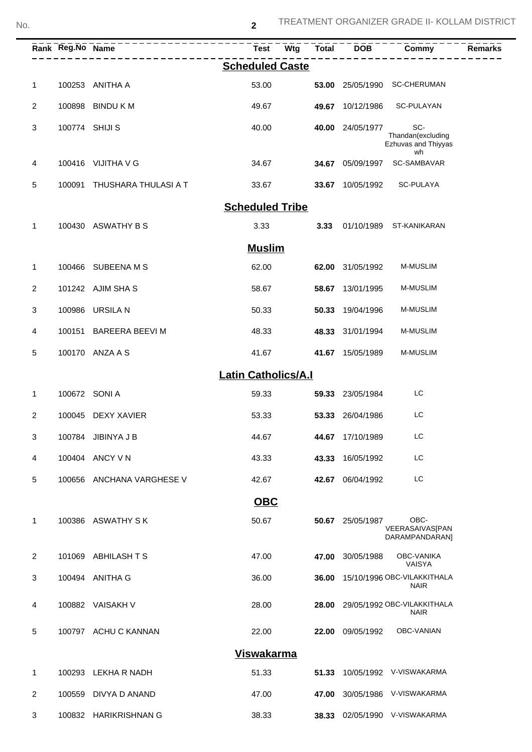|              |        | Rank Reg. No Name ---------------------<br>-------------- | Test<br><b>Wtg</b>         | <b>Total</b> | $\overline{DOB}$ | <b>Commy</b>                                    | Remarks |
|--------------|--------|-----------------------------------------------------------|----------------------------|--------------|------------------|-------------------------------------------------|---------|
|              |        |                                                           | <b>Scheduled Caste</b>     |              |                  |                                                 |         |
| $\mathbf 1$  |        | 100253 ANITHA A                                           | 53.00                      |              |                  | 53.00 25/05/1990 SC-CHERUMAN                    |         |
| 2            |        | 100898 BINDU K M                                          | 49.67                      |              | 49.67 10/12/1986 | SC-PULAYAN                                      |         |
| 3            |        | 100774 SHIJI S                                            | 40.00                      |              | 40.00 24/05/1977 | SC-<br>Thandan(excluding<br>Ezhuvas and Thiyyas |         |
| 4            |        | 100416 VIJITHA V G                                        | 34.67                      |              | 34.67 05/09/1997 | wh<br>SC-SAMBAVAR                               |         |
| 5            |        | 100091 THUSHARA THULASI A T                               | 33.67                      |              | 33.67 10/05/1992 | SC-PULAYA                                       |         |
|              |        |                                                           | <b>Scheduled Tribe</b>     |              |                  |                                                 |         |
| 1            |        | 100430 ASWATHY B S                                        | 3.33                       | 3.33         |                  | 01/10/1989 ST-KANIKARAN                         |         |
|              |        |                                                           | <b>Muslim</b>              |              |                  |                                                 |         |
| 1            |        | 100466 SUBEENA M S                                        | 62.00                      |              | 62.00 31/05/1992 | <b>M-MUSLIM</b>                                 |         |
| 2            |        | 101242 AJIM SHAS                                          | 58.67                      | 58.67        | 13/01/1995       | M-MUSLIM                                        |         |
| 3            |        | 100986 URSILA N                                           | 50.33                      | 50.33        | 19/04/1996       | <b>M-MUSLIM</b>                                 |         |
| 4            | 100151 | BAREERA BEEVI M                                           | 48.33                      |              | 48.33 31/01/1994 | <b>M-MUSLIM</b>                                 |         |
| 5            |        | 100170 ANZA A S                                           | 41.67                      |              | 41.67 15/05/1989 | M-MUSLIM                                        |         |
|              |        |                                                           | <b>Latin Catholics/A.I</b> |              |                  |                                                 |         |
| $\mathbf{1}$ |        | 100672 SONI A                                             | 59.33                      | 59.33        | 23/05/1984       | LC                                              |         |
| 2            |        | 100045 DEXY XAVIER                                        | 53.33                      |              | 53.33 26/04/1986 | LC                                              |         |
| 3            |        | 100784 JIBINYA J B                                        | 44.67                      |              | 44.67 17/10/1989 | LC                                              |         |
| 4            |        | 100404 ANCY V N                                           | 43.33                      | 43.33        | 16/05/1992       | LC                                              |         |
| 5            |        | 100656 ANCHANA VARGHESE V                                 | 42.67                      | 42.67        | 06/04/1992       | LC                                              |         |
|              |        |                                                           | <b>OBC</b>                 |              |                  |                                                 |         |
| 1            |        | 100386 ASWATHY SK                                         | 50.67                      | 50.67        | 25/05/1987       | OBC-<br>VEERASAIVAS[PAN<br>DARAMPANDARAN]       |         |
| 2            |        | 101069 ABHILASH T S                                       | 47.00                      | 47.00        | 30/05/1988       | OBC-VANIKA<br><b>VAISYA</b>                     |         |
| 3            |        | 100494 ANITHA G                                           | 36.00                      | 36.00        |                  | 15/10/1996 OBC-VILAKKITHALA<br><b>NAIR</b>      |         |
| 4            |        | 100882 VAISAKH V                                          | 28.00                      | 28.00        |                  | 29/05/1992 OBC-VILAKKITHALA<br><b>NAIR</b>      |         |
| 5            |        | 100797 ACHU C KANNAN                                      | 22.00                      | 22.00        | 09/05/1992       | OBC-VANIAN                                      |         |
|              |        |                                                           | <b>Viswakarma</b>          |              |                  |                                                 |         |
| 1            | 100293 | LEKHA R NADH                                              | 51.33                      | 51.33        |                  | 10/05/1992 V-VISWAKARMA                         |         |
| 2            | 100559 | DIVYA D ANAND                                             | 47.00                      | 47.00        |                  | 30/05/1986 V-VISWAKARMA                         |         |
| 3            | 100832 | <b>HARIKRISHNAN G</b>                                     | 38.33                      | 38.33        |                  | 02/05/1990 V-VISWAKARMA                         |         |

**2**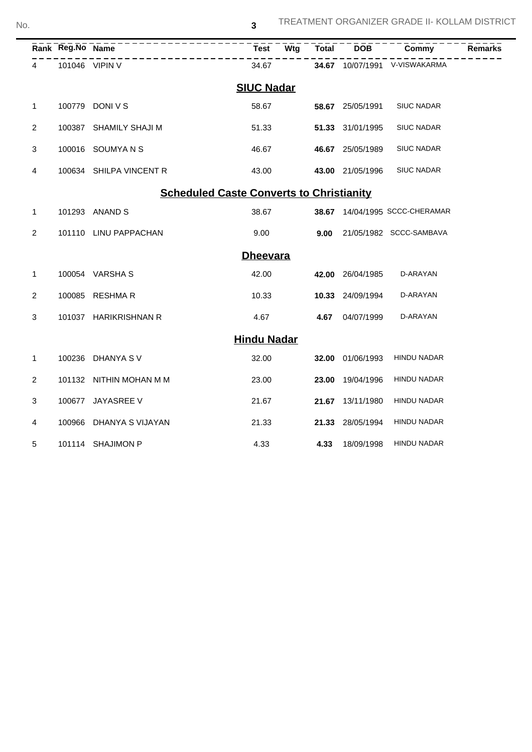|                                                 | Rank Reg.No Name |                           | Test  | -<br>Wtg | <b>Total</b> | <b>DOB</b>       | Commy                          | <b>Remarks</b> |  |
|-------------------------------------------------|------------------|---------------------------|-------|----------|--------------|------------------|--------------------------------|----------------|--|
| 4                                               |                  | -------<br>101046 VIPIN V | 34.67 |          |              |                  | 34.67 10/07/1991 V-VISWAKARMA  |                |  |
| <b>SIUC Nadar</b>                               |                  |                           |       |          |              |                  |                                |                |  |
| 1                                               |                  | 100779 DONI V S           | 58.67 |          |              | 58.67 25/05/1991 | <b>SIUC NADAR</b>              |                |  |
| $\overline{2}$                                  | 100387           | SHAMILY SHAJI M           | 51.33 |          |              | 51.33 31/01/1995 | <b>SIUC NADAR</b>              |                |  |
| 3                                               |                  | 100016 SOUMYANS           | 46.67 |          |              | 46.67 25/05/1989 | <b>SIUC NADAR</b>              |                |  |
| 4                                               |                  | 100634 SHILPA VINCENT R   | 43.00 |          |              | 43.00 21/05/1996 | <b>SIUC NADAR</b>              |                |  |
| <b>Scheduled Caste Converts to Christianity</b> |                  |                           |       |          |              |                  |                                |                |  |
| 1                                               |                  | 101293 ANAND S            | 38.67 |          |              |                  | 38.67 14/04/1995 SCCC-CHERAMAR |                |  |
| $\overline{2}$                                  |                  | 101110 LINU PAPPACHAN     | 9.00  |          | 9.00         |                  | 21/05/1982 SCCC-SAMBAVA        |                |  |
| <b>Dheevara</b>                                 |                  |                           |       |          |              |                  |                                |                |  |
| $\mathbf{1}$                                    |                  | 100054 VARSHA S           | 42.00 |          | 42.00        | 26/04/1985       | D-ARAYAN                       |                |  |
| 2                                               | 100085           | <b>RESHMAR</b>            | 10.33 |          |              | 10.33 24/09/1994 | D-ARAYAN                       |                |  |
| 3                                               |                  | 101037 HARIKRISHNAN R     | 4.67  |          | 4.67         | 04/07/1999       | D-ARAYAN                       |                |  |
| <b>Hindu Nadar</b>                              |                  |                           |       |          |              |                  |                                |                |  |
| 1                                               |                  | 100236 DHANYA S V         | 32.00 |          | 32.00        | 01/06/1993       | <b>HINDU NADAR</b>             |                |  |
| 2                                               |                  | 101132 NITHIN MOHAN M M   | 23.00 |          | 23.00        | 19/04/1996       | <b>HINDU NADAR</b>             |                |  |
| 3                                               | 100677           | JAYASREE V                | 21.67 |          | 21.67        | 13/11/1980       | <b>HINDU NADAR</b>             |                |  |
| 4                                               | 100966           | DHANYA S VIJAYAN          | 21.33 |          | 21.33        | 28/05/1994       | <b>HINDU NADAR</b>             |                |  |
| 5                                               |                  | 101114 SHAJIMON P         | 4.33  |          | 4.33         | 18/09/1998       | <b>HINDU NADAR</b>             |                |  |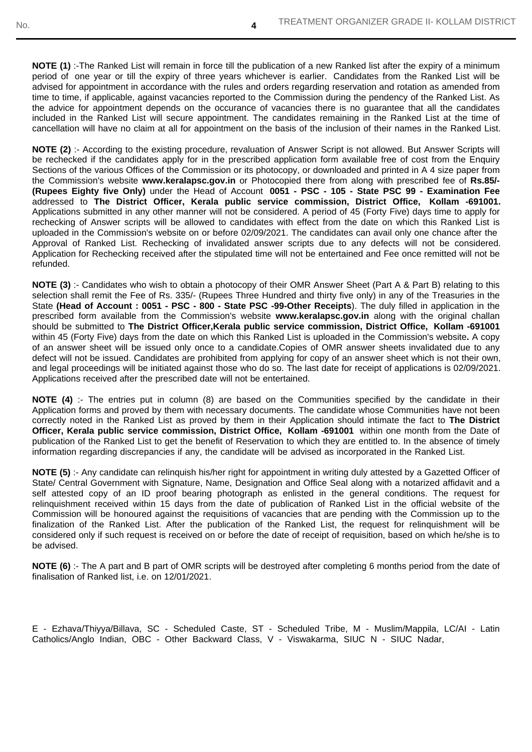**NOTE (1)** :-The Ranked List will remain in force till the publication of a new Ranked list after the expiry of a minimum period of one year or till the expiry of three years whichever is earlier. Candidates from the Ranked List will be advised for appointment in accordance with the rules and orders regarding reservation and rotation as amended from time to time, if applicable, against vacancies reported to the Commission during the pendency of the Ranked List. As the advice for appointment depends on the occurance of vacancies there is no guarantee that all the candidates included in the Ranked List will secure appointment. The candidates remaining in the Ranked List at the time of cancellation will have no claim at all for appointment on the basis of the inclusion of their names in the Ranked List.

**4**

**NOTE (2)** :- According to the existing procedure, revaluation of Answer Script is not allowed. But Answer Scripts will be rechecked if the candidates apply for in the prescribed application form available free of cost from the Enquiry Sections of the various Offices of the Commission or its photocopy, or downloaded and printed in A 4 size paper from the Commission's website **www.keralapsc.gov.in** or Photocopied there from along with prescribed fee of **Rs.85/- (Rupees Eighty five Only)** under the Head of Account **0051 - PSC - 105 - State PSC 99 - Examination Fee** addressed to **The District Officer, Kerala public service commission, District Office, Kollam -691001.** Applications submitted in any other manner will not be considered. A period of 45 (Forty Five) days time to apply for rechecking of Answer scripts will be allowed to candidates with effect from the date on which this Ranked List is uploaded in the Commission's website on or before 02/09/2021. The candidates can avail only one chance after the Approval of Ranked List. Rechecking of invalidated answer scripts due to any defects will not be considered. Application for Rechecking received after the stipulated time will not be entertained and Fee once remitted will not be refunded.

**NOTE (3)** :- Candidates who wish to obtain a photocopy of their OMR Answer Sheet (Part A & Part B) relating to this selection shall remit the Fee of Rs. 335/- (Rupees Three Hundred and thirty five only) in any of the Treasuries in the State **(Head of Account : 0051 - PSC - 800 - State PSC -99-Other Receipts**). The duly filled in application in the prescribed form available from the Commission's website **www.keralapsc.gov.in** along with the original challan should be submitted to **The District Officer,Kerala public service commission, District Office, Kollam -691001** within 45 (Forty Five) days from the date on which this Ranked List is uploaded in the Commission's website**.** A copy of an answer sheet will be issued only once to a candidate.Copies of OMR answer sheets invalidated due to any defect will not be issued. Candidates are prohibited from applying for copy of an answer sheet which is not their own, and legal proceedings will be initiated against those who do so. The last date for receipt of applications is 02/09/2021. Applications received after the prescribed date will not be entertained.

**NOTE (4)** :- The entries put in column (8) are based on the Communities specified by the candidate in their Application forms and proved by them with necessary documents. The candidate whose Communities have not been correctly noted in the Ranked List as proved by them in their Application should intimate the fact to **The District Officer, Kerala public service commission, District Office, Kollam -691001** within one month from the Date of publication of the Ranked List to get the benefit of Reservation to which they are entitled to. In the absence of timely information regarding discrepancies if any, the candidate will be advised as incorporated in the Ranked List.

**NOTE (5)** :- Any candidate can relinquish his/her right for appointment in writing duly attested by a Gazetted Officer of State/ Central Government with Signature, Name, Designation and Office Seal along with a notarized affidavit and a self attested copy of an ID proof bearing photograph as enlisted in the general conditions. The request for relinquishment received within 15 days from the date of publication of Ranked List in the official website of the Commission will be honoured against the requisitions of vacancies that are pending with the Commission up to the finalization of the Ranked List. After the publication of the Ranked List, the request for relinquishment will be considered only if such request is received on or before the date of receipt of requisition, based on which he/she is to be advised.

**NOTE (6)** :- The A part and B part of OMR scripts will be destroyed after completing 6 months period from the date of finalisation of Ranked list, i.e. on 12/01/2021.

E - Ezhava/Thiyya/Billava, SC - Scheduled Caste, ST - Scheduled Tribe, M - Muslim/Mappila, LC/AI - Latin Catholics/Anglo Indian, OBC - Other Backward Class, V - Viswakarma, SIUC N - SIUC Nadar,